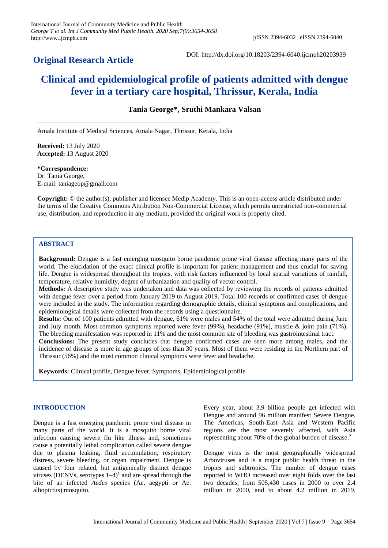# **Original Research Article**

DOI: http://dx.doi.org/10.18203/2394-6040.ijcmph20203939

# **Clinical and epidemiological profile of patients admitted with dengue fever in a tertiary care hospital, Thrissur, Kerala, India**

# **Tania George\*, Sruthi Mankara Valsan**

Amala Institute of Medical Sciences, Amala Nagar, Thrissur, Kerala, India

**Received:** 13 July 2020 **Accepted:** 13 August 2020

**\*Correspondence:** Dr. Tania George,

E-mail: taniageop@gmail.com

**Copyright:** © the author(s), publisher and licensee Medip Academy. This is an open-access article distributed under the terms of the Creative Commons Attribution Non-Commercial License, which permits unrestricted non-commercial use, distribution, and reproduction in any medium, provided the original work is properly cited.

# **ABSTRACT**

**Background:** Dengue is a fast emerging mosquito borne pandemic prone viral disease affecting many parts of the world. The elucidation of the exact clinical profile is important for patient management and thus crucial for saving life. Dengue is widespread throughout the tropics, with risk factors influenced by local spatial variations of rainfall, temperature, relative humidity, degree of urbanization and quality of vector control.

**Methods:** A descriptive study was undertaken and data was collected by reviewing the records of patients admitted with dengue fever over a period from January 2019 to August 2019. Total 100 records of confirmed cases of dengue were included in the study. The information regarding demographic details, clinical symptoms and complications, and epidemiological details were collected from the records using a questionnaire.

**Results:** Out of 100 patients admitted with dengue, 61% were males and 54% of the total were admitted during June and July month. Most common symptoms reported were fever (99%), headache (91%), muscle & joint pain (71%). The bleeding manifestation was reported in 11% and the most common site of bleeding was gastrointestinal tract.

**Conclusions:** The present study concludes that dengue confirmed cases are seen more among males, and the incidence of disease is more in age groups of less than 30 years. Most of them were residing in the Northern part of Thrissur (56%) and the most common clinical symptoms were fever and headache.

**Keywords:** Clinical profile, Dengue fever, Symptoms, Epidemiological profile

# **INTRODUCTION**

Dengue is a fast emerging pandemic prone viral disease in many parts of the world. It is a mosquito borne viral infection causing severe flu like illness and, sometimes cause a potentially lethal complication called severe dengue due to plasma leaking, fluid accumulation, respiratory distress, severe bleeding, or organ impairment. Dengue is caused by four related, but antigenically distinct dengue viruses (DENVs, serotypes  $1-4$ )<sup>1</sup> and are spread through the bite of an infected *Aedes* species (Ae. aegypti or Ae. albopictus) mosquito.

Every year, about 3.9 billion people get infected with Dengue and around 96 million manifest Severe Dengue. The Americas, South-East Asia and Western Pacific regions are the most severely affected, with Asia representing about 70% of the global burden of disease. 2

Dengue virus is the most geographically widespread Arboviruses and is a major public health threat in the tropics and subtropics. The number of dengue cases reported to WHO increased over eight folds over the last two decades, from 505,430 cases in 2000 to over 2.4 million in 2010, and to about 4.2 million in 2019.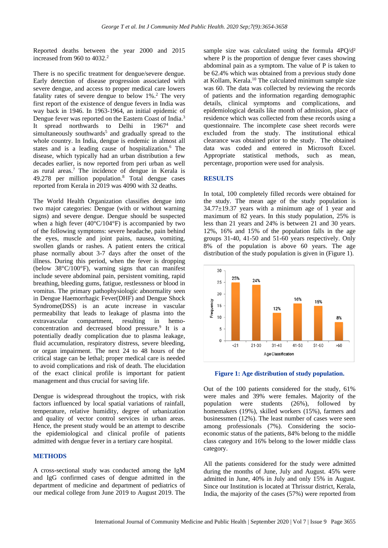Reported deaths between the year 2000 and 2015 increased from 960 to 4032. 2

There is no specific treatment for dengue/severe dengue. Early detection of disease progression associated with severe dengue, and access to proper medical care lowers fatality rates of severe dengue to below 1%. <sup>2</sup> The very first report of the existence of dengue fevers in India was way back in 1946. In 1963-1964, an initial epidemic of Dengue fever was reported on the Eastern Coast of India.<sup>3</sup> It spread northwards to Delhi in 1967<sup>4</sup> and simultaneously southwards<sup>5</sup> and gradually spread to the whole country. In India, dengue is endemic in almost all states and is a leading cause of hospitalization. <sup>6</sup> The disease, which typically had an urban distribution a few decades earlier, is now reported from peri urban as well as rural areas. <sup>7</sup> The incidence of dengue in Kerala is 49.278 per million population. <sup>8</sup> Total dengue cases reported from Kerala in 2019 was 4090 with 32 deaths.

The World Health Organization classifies dengue into two major categories: Dengue (with or without warning signs) and severe dengue. Dengue should be suspected when a high fever (40°C/104°F) is accompanied by two of the following symptoms: severe headache, pain behind the eyes, muscle and joint pains, nausea, vomiting, swollen glands or rashes. A patient enters the critical phase normally about 3-7 days after the onset of the illness. During this period, when the fever is dropping (below 38°C/100°F), warning signs that can manifest include severe abdominal pain, persistent vomiting, rapid breathing, bleeding gums, fatigue, restlessness or blood in vomitus. The primary pathophysiologic abnormality seen in Dengue Haemorrhagic Fever(DHF) and Dengue Shock Syndrome(DSS) is an acute increase in vascular permeability that leads to leakage of plasma into the extravascular compartment, resulting in hemoconcentration and decreased blood pressure. 9 It is a potentially deadly complication due to plasma leakage, fluid accumulation, respiratory distress, severe bleeding, or organ impairment. The next 24 to 48 hours of the critical stage can be lethal; proper medical care is needed to avoid complications and risk of death. The elucidation of the exact clinical profile is important for patient management and thus crucial for saving life.

Dengue is widespread throughout the tropics, with risk factors influenced by local spatial variations of rainfall, temperature, relative humidity, degree of urbanization and quality of vector control services in urban areas. Hence, the present study would be an attempt to describe the epidemiological and clinical profile of patients admitted with dengue fever in a tertiary care hospital.

#### **METHODS**

A cross-sectional study was conducted among the IgM and IgG confirmed cases of dengue admitted in the department of medicine and department of pediatrics of our medical college from June 2019 to August 2019. The

sample size was calculated using the formula  $4PQ/d^2$ where P is the proportion of dengue fever cases showing abdominal pain as a symptom. The value of P is taken to be 62.4% which was obtained from a previous study done at Kollam, Kerala. <sup>10</sup> The calculated minimum sample size was 60. The data was collected by reviewing the records of patients and the information regarding demographic details, clinical symptoms and complications, and epidemiological details like month of admission, place of residence which was collected from these records using a questionnaire. The incomplete case sheet records were excluded from the study. The institutional ethical clearance was obtained prior to the study. The obtained data was coded and entered in Microsoft Excel. Appropriate statistical methods, such as mean, percentage, proportion were used for analysis.

#### **RESULTS**

In total, 100 completely filled records were obtained for the study. The mean age of the study population is 34.77±19.37 years with a minimum age of 1 year and maximum of 82 years. In this study population, 25% is less than 21 years and 24% is between 21 and 30 years. 12%, 16% and 15% of the population falls in the age groups 31-40, 41-50 and 51-60 years respectively. Only 8% of the population is above 60 years. The age distribution of the study population is given in (Figure 1).





Out of the 100 patients considered for the study, 61% were males and 39% were females. Majority of the population were students (26%), followed by homemakers (19%), skilled workers (15%), farmers and businessmen (12%). The least number of cases were seen among professionals (7%). Considering the socioeconomic status of the patients, 84% belong to the middle class category and 16% belong to the lower middle class category.

All the patients considered for the study were admitted during the months of June, July and August. 45% were admitted in June, 40% in July and only 15% in August. Since our Institution is located at Thrissur district, Kerala, India, the majority of the cases (57%) were reported from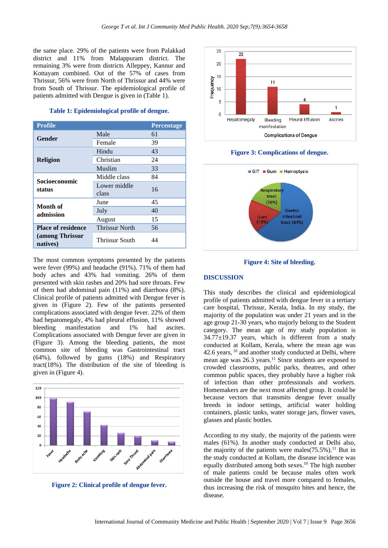the same place. 29% of the patients were from Palakkad district and 11% from Malappuram district. The remaining 3% were from districts Alleppey, Kannur and Kottayam combined. Out of the 57% of cases from Thrissur, 56% were from North of Thrissur and 44% were from South of Thrissur. The epidemiological profile of patients admitted with Dengue is given in (Table 1).

| <b>Profile</b>                                           |                       | <b>Percentage</b> |
|----------------------------------------------------------|-----------------------|-------------------|
| Gender                                                   | Male                  | 61                |
|                                                          | Female                | 39                |
| <b>Religion</b>                                          | Hindu                 | 43                |
|                                                          | Christian             | 24                |
|                                                          | Muslim                | 33                |
| <b>Socioeconomic</b><br>status                           | Middle class          | 84                |
|                                                          | Lower middle<br>class | 16                |
| Month of<br>admission                                    | June                  | 45                |
|                                                          | July                  | 40                |
|                                                          | August                | 15                |
| <b>Place of residence</b><br>(among Thrissur<br>natives) | <b>Thrissur North</b> | 56                |
|                                                          | <b>Thrissur South</b> | 44                |

#### **Table 1: Epidemiological profile of dengue.**

The most common symptoms presented by the patients were fever (99%) and headache (91%). 71% of them had body aches and 43% had vomiting. 26% of them presented with skin rashes and 20% had sore throats. Few of them had abdominal pain (11%) and diarrhoea (8%). Clinical profile of patients admitted with Dengue fever is given in (Figure 2). Few of the patients presented complications associated with dengue fever. 22% of them had hepatomegaly, 4% had pleural effusion, 11% showed bleeding manifestation and 1% had ascites. Complications associated with Dengue fever are given in (Figure 3). Among the bleeding patients, the most common site of bleeding was Gastrointestinal tract (64%), followed by gums (18%) and Respiratory tract(18%). The distribution of the site of bleeding is given in (Figure 4).



**Figure 2: Clinical profile of dengue fever.**



#### **Figure 3: Complications of dengue.**



**Figure 4: Site of bleeding.**

#### **DISCUSSION**

This study describes the clinical and epidemiological profile of patients admitted with dengue fever in a tertiary care hospital, Thrissur, Kerala, India. In my study, the majority of the population was under 21 years and in the age group 21-30 years, who majorly belong to the Student category. The mean age of my study population is 34.77±19.37 years, which is different from a study conducted at Kollam, Kerala, where the mean age was 42.6 years, <sup>10</sup> and another study conducted at Delhi, where mean age was 26.3 years. <sup>11</sup> Since students are exposed to crowded classrooms, public parks, theatres, and other common public spaces, they probably have a higher risk of infection than other professionals and workers. Homemakers are the next most affected group. It could be because vectors that transmits dengue fever usually breeds in indoor settings, artificial water holding containers, plastic tanks, water storage jars, flower vases, glasses and plastic bottles.

According to my study, the majority of the patients were males (61%). In another study conducted at Delhi also, the majority of the patients were males $(75.5\%)$ .<sup>11</sup> But in the study conducted at Kollam, the disease incidence was equally distributed among both sexes. <sup>10</sup> The high number of male patients could be because males often work outside the house and travel more compared to females, thus increasing the risk of mosquito bites and hence, the disease.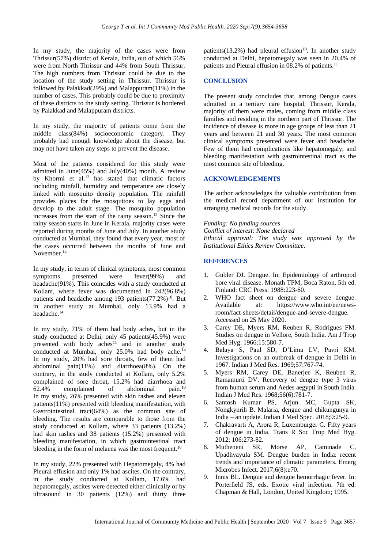In my study, the majority of the cases were from Thrissur(57%) district of Kerala, India, out of which 56% were from North Thrissur and 44% from South Thrissur. The high numbers from Thrissur could be due to the location of the study setting in Thrissur. Thrissur is followed by Palakkad(29%) and Malappuram(11%) in the number of cases. This probably could be due to proximity of these districts to the study setting. Thrissur is bordered by Palakkad and Malappuram districts.

In my study, the majority of patients come from the middle class(84%) socioeconomic category. They probably had enough knowledge about the disease, but may not have taken any steps to prevent the disease.

Most of the patients considered for this study were admitted in June(45%) and July(40%) month. A review by Khormi et al. <sup>12</sup> has stated that climatic factors including rainfall, humidity and temperature are closely linked with mosquito density population. The rainfall provides places for the mosquitoes to lay eggs and develop to the adult stage. The mosquito population increases from the start of the rainy season. <sup>13</sup> Since the rainy season starts in June in Kerala, majority cases were reported during months of June and July. In another study conducted at Mumbai, they found that every year, most of the cases occurred between the months of June and November.<sup>14</sup>

In my study, in terms of clinical symptoms, most common<br>symptoms presented were fever(99%) and symptoms presented were fever(99%) and headache(91%). This coincides with a study conducted at Kollam, where fever was documented in 242(96.8%) patients and headache among 193 patients $(77.2\%)^{10}$ . But in another study at Mumbai, only 13.9% had a headache. 14

In my study, 71% of them had body aches, but in the study conducted at Delhi, only 45 patients(45.9%) were presented with body  $aches<sup>11</sup>$  and in another study conducted at Mumbai, only 25.0% had body ache. 14 In my study, 20% had sore throats, few of them had abdominal pain(11%) and diarrhoea(8%). On the contrary, in the study conducted at Kollam, only 5.2% complained of sore throat, 15.2% had diarrhoea and 62.4% complained of abdominal 10 In my study, 26% presented with skin rashes and eleven patients(11%) presented with bleeding manifestation, with Gastrointestinal tract(64%) as the common site of bleeding. The results are comparable to those from the study conducted at Kollam, where 33 patients (13.2%) had skin rashes and 38 patients (15.2%) presented with bleeding manifestation, in which gastrointestinal tract bleeding in the form of melaena was the most frequent.<sup>10</sup>

In my study, 22% presented with Hepatomegaly, 4% had Pleural effusion and only 1% had ascites. On the contrary, in the study conducted at Kollam, 17.6% had hepatomegaly, ascites were detected either clinically or by ultrasound in 30 patients (12%) and thirty three

patients(13.2%) had pleural effusion<sup>10</sup>. In another study conducted at Delhi, hepatomegaly was seen in 20.4% of patients and Pleural effusion in 08.2% of patients.<sup>11</sup>

### **CONCLUSION**

The present study concludes that, among Dengue cases admitted in a tertiary care hospital, Thrissur, Kerala, majority of them were males, coming from middle class families and residing in the northern part of Thrissur. The incidence of disease is more in age groups of less than 21 years and between 21 and 30 years. The most common clinical symptoms presented were fever and headache. Few of them had complications like hepatomegaly, and bleeding manifestation with gastrointestinal tract as the most common site of bleeding.

# **ACKNOWLEDGEMENTS**

The author acknowledges the valuable contribution from the medical record department of our institution for arranging medical records for the study.

*Funding: No funding sources Conflict of interest: None declared Ethical approval: The study was approved by the Institutional Ethics Review Committee.*

# **REFERENCES**

- 1. Gubler DJ. Dengue. In: Epidemiology of arthropod bore viral disease. Monath TPM, Boca Raton. 5th ed. Finland: CRC Press: 1988:223-60.
- 2. WHO fact sheet on dengue and severe dengue. Available at: [https://www.who.int/en/news](https://www.who.int/en/news-room/fact-sheets/detail/dengue-and-severe-dengue)[room/fact-sheets/detail/dengue-and-severe-dengue.](https://www.who.int/en/news-room/fact-sheets/detail/dengue-and-severe-dengue) Accessed on 25 May 2020.
- 3. Carey DE, Myers RM, Reuben R, Rodrigues FM. Studies on dengue in Vellore, South India. Am J Trop Med Hyg. 1966;15:580-7.
- 4. Balaya S, Paul SD, D'Lima LV, Pavri KM. Investigations on an outbreak of dengue in Delhi in 1967. Indian J Med Res. 1969;57:767-74.
- 5. Myers RM, Carey DE, Banerjee K, Reuben R, Ramamurti DV. Recovery of dengue type 3 virus from human serum and Aedes aegypti in South India. Indian J Med Res. 1968;56(6):781-7.
- 6. Santosh Kumar PS, Arjun MC, Gupta SK, Nongkynrih B. Malaria, dengue and chikungunya in India – an update. Indian J Med Spec. 2018;9:25-9.
- 7. Chakravarti A, Arora R, Luxemburger C. Fifty years of dengue in India. Trans R Soc Trop Med Hyg. 2012; 106:273-82.
- 8. Mutheneni SR, Morse AP, Caminade C, Upadhyayula SM. Dengue burden in India: recent trends and importance of climatic parameters. Emerg Microbes Infect. 2017;6(8):e70.
- 9. Innis BL. Dengue and dengue hemorrhagic fever. In: Porterfield JS, eds. Exotic viral infection. 7th ed. Chapman & Hall, London, United Kingdom; 1995.